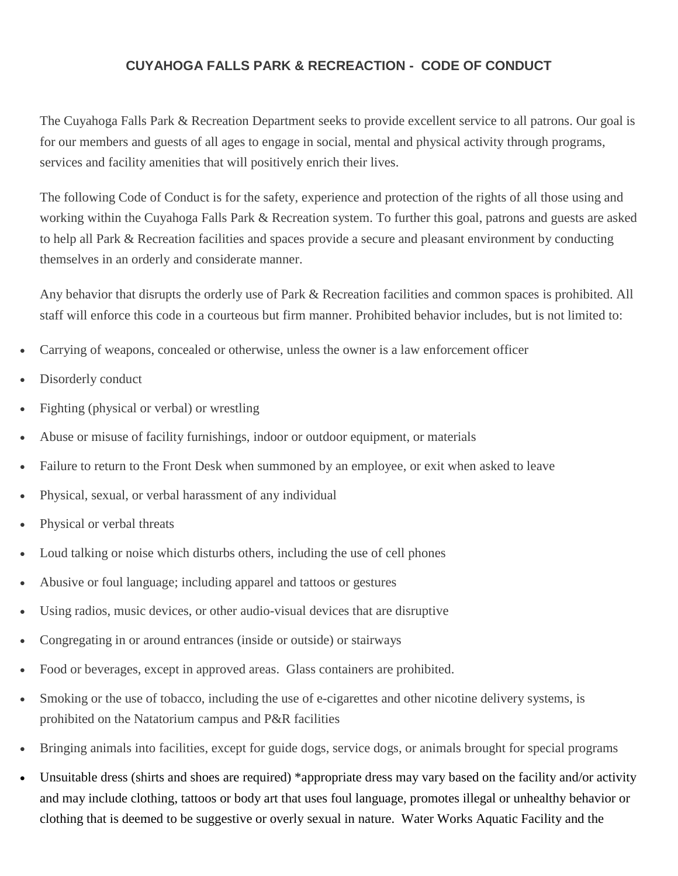## **CUYAHOGA FALLS PARK & RECREACTION - CODE OF CONDUCT**

The Cuyahoga Falls Park & Recreation Department seeks to provide excellent service to all patrons. Our goal is for our members and guests of all ages to engage in social, mental and physical activity through programs, services and facility amenities that will positively enrich their lives.

The following Code of Conduct is for the safety, experience and protection of the rights of all those using and working within the Cuyahoga Falls Park & Recreation system. To further this goal, patrons and guests are asked to help all Park & Recreation facilities and spaces provide a secure and pleasant environment by conducting themselves in an orderly and considerate manner.

Any behavior that disrupts the orderly use of Park & Recreation facilities and common spaces is prohibited. All staff will enforce this code in a courteous but firm manner. Prohibited behavior includes, but is not limited to:

- Carrying of weapons, concealed or otherwise, unless the owner is a law enforcement officer
- Disorderly conduct
- Fighting (physical or verbal) or wrestling
- Abuse or misuse of facility furnishings, indoor or outdoor equipment, or materials
- Failure to return to the Front Desk when summoned by an employee, or exit when asked to leave
- Physical, sexual, or verbal harassment of any individual
- Physical or verbal threats
- Loud talking or noise which disturbs others, including the use of cell phones
- Abusive or foul language; including apparel and tattoos or gestures
- Using radios, music devices, or other audio-visual devices that are disruptive
- Congregating in or around entrances (inside or outside) or stairways
- Food or beverages, except in approved areas. Glass containers are prohibited.
- Smoking or the use of tobacco, including the use of e-cigarettes and other nicotine delivery systems, is prohibited on the Natatorium campus and P&R facilities
- Bringing animals into facilities, except for guide dogs, service dogs, or animals brought for special programs
- Unsuitable dress (shirts and shoes are required) \*appropriate dress may vary based on the facility and/or activity and may include clothing, tattoos or body art that uses foul language, promotes illegal or unhealthy behavior or clothing that is deemed to be suggestive or overly sexual in nature. Water Works Aquatic Facility and the